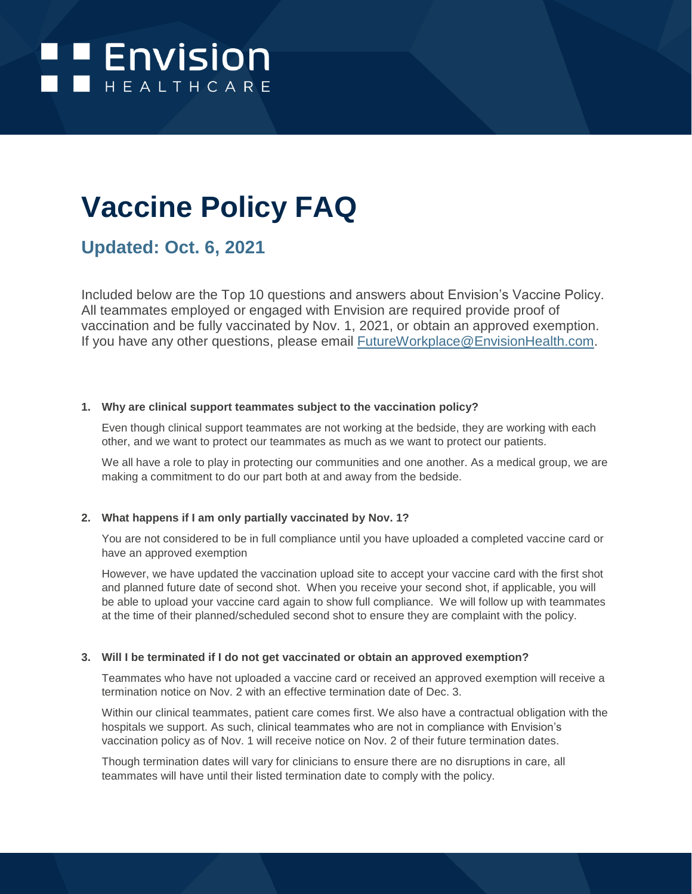

# **Vaccine Policy FAQ**

## **Updated: Oct. 6, 2021**

Included below are the Top 10 questions and answers about Envision's Vaccine Policy. All teammates employed or engaged with Envision are required provide proof of vaccination and be fully vaccinated by Nov. 1, 2021, or obtain an approved exemption. If you have any other questions, please email [FutureWorkplace@EnvisionHealth.com.](mailto:FutureWorkPlace@EnvisionHealth.com)

#### **1. Why are clinical support teammates subject to the vaccination policy?**

Even though clinical support teammates are not working at the bedside, they are working with each other, and we want to protect our teammates as much as we want to protect our patients.

We all have a role to play in protecting our communities and one another. As a medical group, we are making a commitment to do our part both at and away from the bedside.

### **2. What happens if I am only partially vaccinated by Nov. 1?**

You are not considered to be in full compliance until you have uploaded a completed vaccine card or have an approved exemption

However, we have updated the vaccination upload site to accept your vaccine card with the first shot and planned future date of second shot. When you receive your second shot, if applicable, you will be able to upload your vaccine card again to show full compliance. We will follow up with teammates at the time of their planned/scheduled second shot to ensure they are complaint with the policy.

#### **3. Will I be terminated if I do not get vaccinated or obtain an approved exemption?**

Teammates who have not uploaded a vaccine card or received an approved exemption will receive a termination notice on Nov. 2 with an effective termination date of Dec. 3.

Within our clinical teammates, patient care comes first. We also have a contractual obligation with the hospitals we support. As such, clinical teammates who are not in compliance with Envision's vaccination policy as of Nov. 1 will receive notice on Nov. 2 of their future termination dates.

Though termination dates will vary for clinicians to ensure there are no disruptions in care, all teammates will have until their listed termination date to comply with the policy.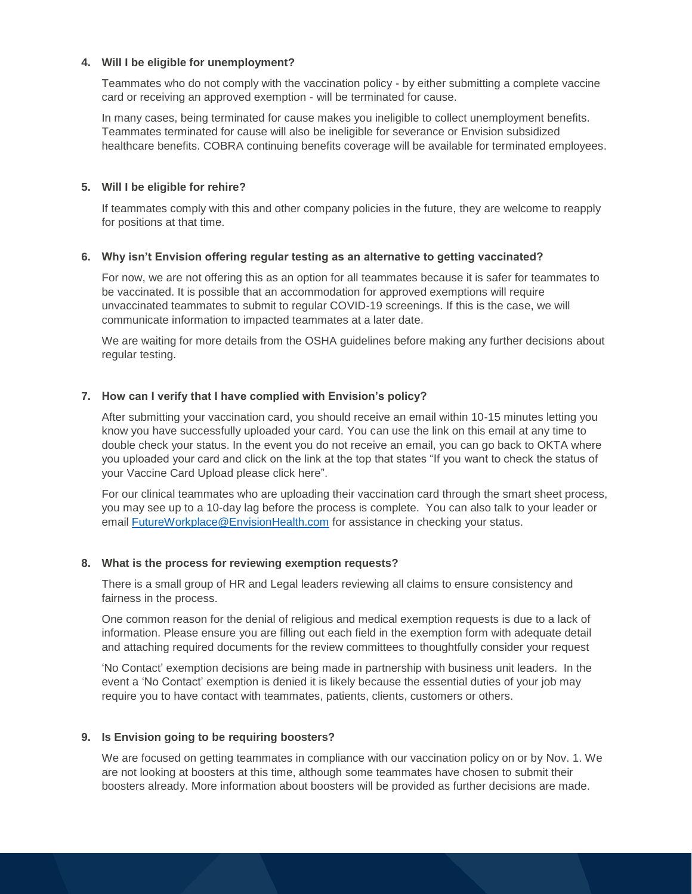#### **4. Will I be eligible for unemployment?**

Teammates who do not comply with the vaccination policy - by either submitting a complete vaccine card or receiving an approved exemption - will be terminated for cause.

In many cases, being terminated for cause makes you ineligible to collect unemployment benefits. Teammates terminated for cause will also be ineligible for severance or Envision subsidized healthcare benefits. COBRA continuing benefits coverage will be available for terminated employees.

#### **5. Will I be eligible for rehire?**

If teammates comply with this and other company policies in the future, they are welcome to reapply for positions at that time.

#### **6. Why isn't Envision offering regular testing as an alternative to getting vaccinated?**

For now, we are not offering this as an option for all teammates because it is safer for teammates to be vaccinated. It is possible that an accommodation for approved exemptions will require unvaccinated teammates to submit to regular COVID-19 screenings. If this is the case, we will communicate information to impacted teammates at a later date.

We are waiting for more details from the OSHA guidelines before making any further decisions about regular testing.

#### **7. How can I verify that I have complied with Envision's policy?**

After submitting your vaccination card, you should receive an email within 10-15 minutes letting you know you have successfully uploaded your card. You can use the link on this email at any time to double check your status. In the event you do not receive an email, you can go back to OKTA where you uploaded your card and click on the link at the top that states "If you want to check the status of your Vaccine Card Upload please click [here"](https://evhc.service-now.com/evhc_sp?view=sp&id=list&table=u_vaccine_tracker).

For our clinical teammates who are uploading their vaccination card through the smart sheet process, you may see up to a 10-day lag before the process is complete. You can also talk to your leader or email **FutureWorkplace@EnvisionHealth.com** for assistance in checking your status.

#### **8. What is the process for reviewing exemption requests?**

There is a small group of HR and Legal leaders reviewing all claims to ensure consistency and fairness in the process.

One common reason for the denial of religious and medical exemption requests is due to a lack of information. Please ensure you are filling out each field in the exemption form with adequate detail and attaching required documents for the review committees to thoughtfully consider your request

'No Contact' exemption decisions are being made in partnership with business unit leaders. In the event a 'No Contact' exemption is denied it is likely because the essential duties of your job may require you to have contact with teammates, patients, clients, customers or others.

#### **9. Is Envision going to be requiring boosters?**

We are focused on getting teammates in compliance with our vaccination policy on or by Nov. 1. We are not looking at boosters at this time, although some teammates have chosen to submit their boosters already. More information about boosters will be provided as further decisions are made.